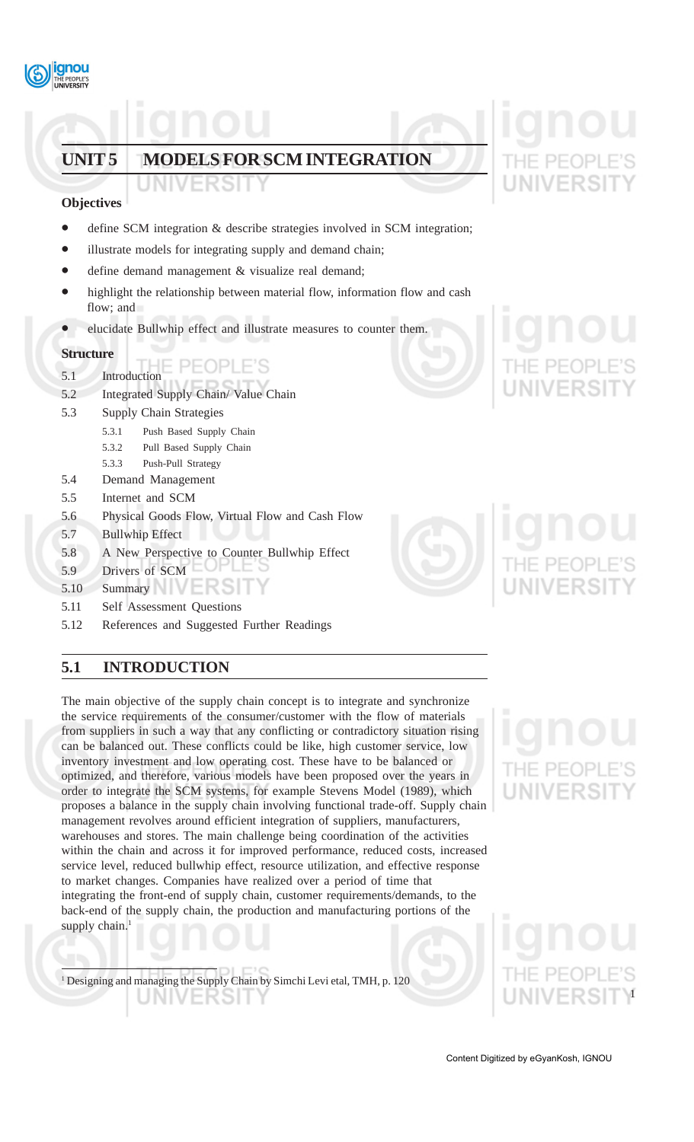

# **UNIT 5 MODELS FOR SCM INTEGRATION**

# **Objectives**

- define SCM integration & describe strategies involved in SCM integration;
- illustrate models for integrating supply and demand chain;
- define demand management & visualize real demand;
- highlight the relationship between material flow, information flow and cash flow; and
- elucidate Bullwhip effect and illustrate measures to counter them.

### **Structure**

# 5.1 Introduction

- 5.2 Integrated Supply Chain/ Value Chain
- 5.3 Supply Chain Strategies
	- 5.3.1 Push Based Supply Chain
	- 5.3.2 Pull Based Supply Chain
	- 5.3.3 Push-Pull Strategy
- 5.4 Demand Management
- 5.5 Internet and SCM
- 5.6 Physical Goods Flow, Virtual Flow and Cash Flow
- 5.7 Bullwhip Effect
- 5.8 A New Perspective to Counter Bullwhip Effect
- 5.9 Drivers of SCM
- 5.10 Summary
- 5.11 Self Assessment Questions
- 5.12 References and Suggested Further Readings

# **5.1 INTRODUCTION**

The main objective of the supply chain concept is to integrate and synchronize the service requirements of the consumer/customer with the flow of materials from suppliers in such a way that any conflicting or contradictory situation rising can be balanced out. These conflicts could be like, high customer service, low inventory investment and low operating cost. These have to be balanced or optimized, and therefore, various models have been proposed over the years in order to integrate the SCM systems, for example Stevens Model (1989), which proposes a balance in the supply chain involving functional trade-off. Supply chain management revolves around efficient integration of suppliers, manufacturers, warehouses and stores. The main challenge being coordination of the activities within the chain and across it for improved performance, reduced costs, increased service level, reduced bullwhip effect, resource utilization, and effective response to market changes. Companies have realized over a period of time that integrating the front-end of supply chain, customer requirements/demands, to the back-end of the supply chain, the production and manufacturing portions of the supply chain. $<sup>1</sup>$ </sup>

<sup>1</sup> Designing and managing the Supply Chain by Simchi Levi etal, TMH, p. 120



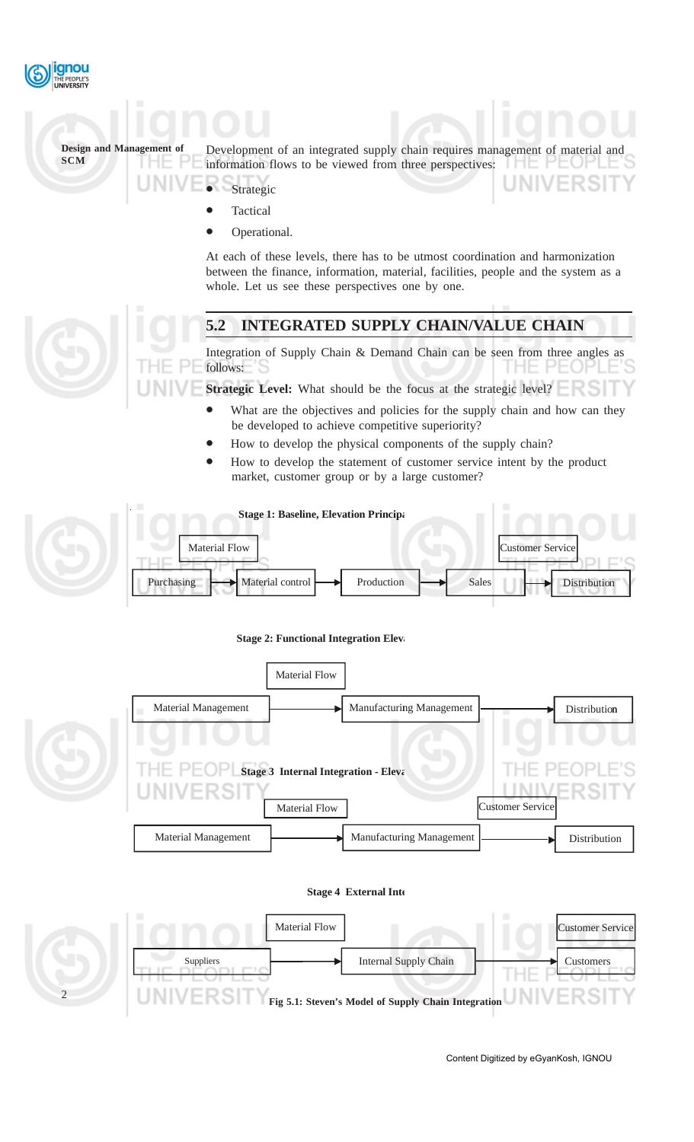

**Design and Management of** Development of an integrated supply chain requires management of material and **SCM** information flows to be viewed from three perspectives: **INF** ۲E

- **Strategic** 
	- **Tactical**
	- Operational.

At each of these levels, there has to be utmost coordination and harmonization between the finance, information, material, facilities, people and the system as a whole. Let us see these perspectives one by one.

NIVERS

# **5.2 INTEGRATED SUPPLY CHAIN/VALUE CHAIN**

Integration of Supply Chain & Demand Chain can be seen from three angles as follows: l H.H

**Strategic Level:** What should be the focus at the strategic level?

- What are the objectives and policies for the supply chain and how can they be developed to achieve competitive superiority?
- How to develop the physical components of the supply chain?
- How to develop the statement of customer service intent by the product market, customer group or by a large customer?







### **Stage 4 External Inte**

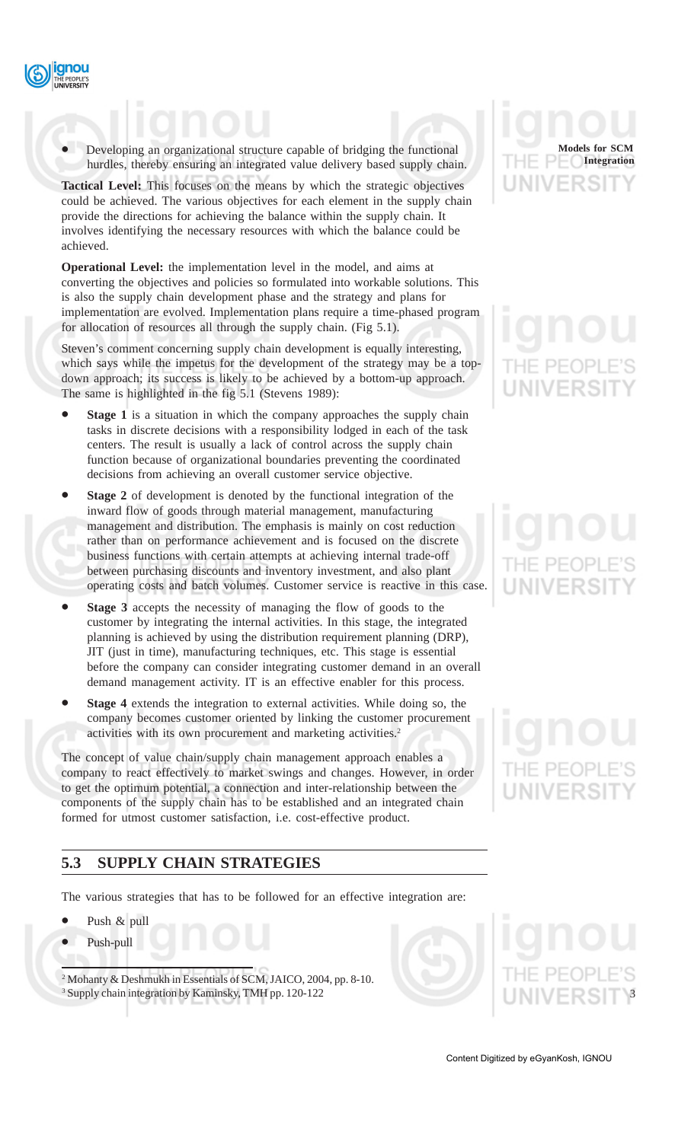

• Developing an organizational structure capable of bridging the functional hurdles, thereby ensuring an integrated value delivery based supply chain.

**Tactical Level:** This focuses on the means by which the strategic objectives could be achieved. The various objectives for each element in the supply chain provide the directions for achieving the balance within the supply chain. It involves identifying the necessary resources with which the balance could be achieved.

**Operational Level:** the implementation level in the model, and aims at converting the objectives and policies so formulated into workable solutions. This is also the supply chain development phase and the strategy and plans for implementation are evolved. Implementation plans require a time-phased program for allocation of resources all through the supply chain. (Fig 5.1).

Steven's comment concerning supply chain development is equally interesting, which says while the impetus for the development of the strategy may be a topdown approach; its success is likely to be achieved by a bottom-up approach. The same is highlighted in the fig 5.1 (Stevens 1989):

- **Stage 1** is a situation in which the company approaches the supply chain tasks in discrete decisions with a responsibility lodged in each of the task centers. The result is usually a lack of control across the supply chain function because of organizational boundaries preventing the coordinated decisions from achieving an overall customer service objective.
- **Stage 2** of development is denoted by the functional integration of the inward flow of goods through material management, manufacturing management and distribution. The emphasis is mainly on cost reduction rather than on performance achievement and is focused on the discrete business functions with certain attempts at achieving internal trade-off between purchasing discounts and inventory investment, and also plant operating costs and batch volumes. Customer service is reactive in this case.
- **Stage 3** accepts the necessity of managing the flow of goods to the customer by integrating the internal activities. In this stage, the integrated planning is achieved by using the distribution requirement planning (DRP), JIT (just in time), manufacturing techniques, etc. This stage is essential before the company can consider integrating customer demand in an overall demand management activity. IT is an effective enabler for this process.
- **Stage 4** extends the integration to external activities. While doing so, the company becomes customer oriented by linking the customer procurement activities with its own procurement and marketing activities.<sup>2</sup>

The concept of value chain/supply chain management approach enables a company to react effectively to market swings and changes. However, in order to get the optimum potential, a connection and inter-relationship between the components of the supply chain has to be established and an integrated chain formed for utmost customer satisfaction, i.e. cost-effective product.

# **5.3 SUPPLY CHAIN STRATEGIES**

The various strategies that has to be followed for an effective integration are:

- Push & pull
- Push-pull

2 Mohanty & Deshmukh in Essentials of SCM, JAICO, 2004, pp. 8-10. 3 Supply chain integration by Kaminsky, TMH pp. 120-122



**Models for SCM Integration**

3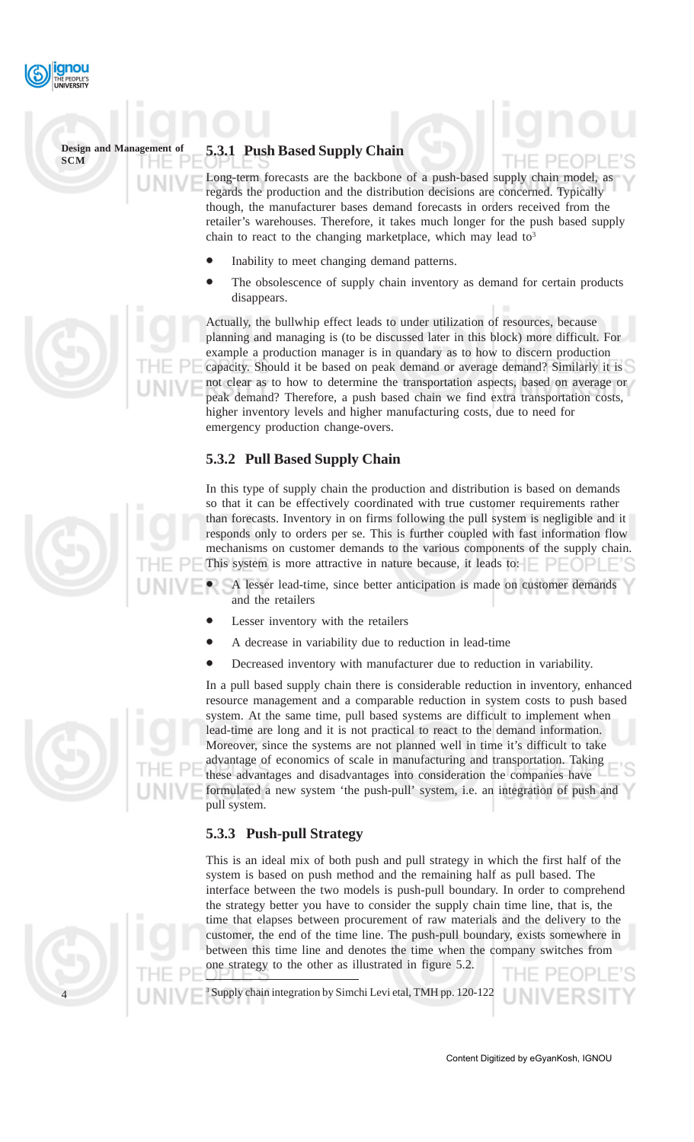

# **Design and Management of 5.3.1 Push Based Supply Chain**

Long-term forecasts are the backbone of a push-based supply chain model, as regards the production and the distribution decisions are concerned. Typically though, the manufacturer bases demand forecasts in orders received from the retailer's warehouses. Therefore, it takes much longer for the push based supply chain to react to the changing marketplace, which may lead to<sup>3</sup>

- Inability to meet changing demand patterns.
- The obsolescence of supply chain inventory as demand for certain products disappears.

Actually, the bullwhip effect leads to under utilization of resources, because planning and managing is (to be discussed later in this block) more difficult. For example a production manager is in quandary as to how to discern production capacity. Should it be based on peak demand or average demand? Similarly it is  $\leq$ not clear as to how to determine the transportation aspects, based on average or peak demand? Therefore, a push based chain we find extra transportation costs, higher inventory levels and higher manufacturing costs, due to need for emergency production change-overs.

### **5.3.2 Pull Based Supply Chain**



In this type of supply chain the production and distribution is based on demands so that it can be effectively coordinated with true customer requirements rather than forecasts. Inventory in on firms following the pull system is negligible and it responds only to orders per se. This is further coupled with fast information flow mechanisms on customer demands to the various components of the supply chain. This system is more attractive in nature because, it leads to:  $\Box$ 

• A lesser lead-time, since better anticipation is made on customer demands and the retailers

- Lesser inventory with the retailers
- A decrease in variability due to reduction in lead-time
- Decreased inventory with manufacturer due to reduction in variability.



In a pull based supply chain there is considerable reduction in inventory, enhanced resource management and a comparable reduction in system costs to push based system. At the same time, pull based systems are difficult to implement when lead-time are long and it is not practical to react to the demand information. Moreover, since the systems are not planned well in time it's difficult to take advantage of economics of scale in manufacturing and transportation. Taking these advantages and disadvantages into consideration the companies have formulated a new system 'the push-pull' system, i.e. an integration of push and pull system.

### **5.3.3 Push-pull Strategy**

This is an ideal mix of both push and pull strategy in which the first half of the system is based on push method and the remaining half as pull based. The interface between the two models is push-pull boundary. In order to comprehend the strategy better you have to consider the supply chain time line, that is, the time that elapses between procurement of raw materials and the delivery to the customer, the end of the time line. The push-pull boundary, exists somewhere in between this time line and denotes the time when the company switches from one strategy to the other as illustrated in figure 5.2.

3 Supply chain integration by Simchi Levi etal, TMH pp. 120-122

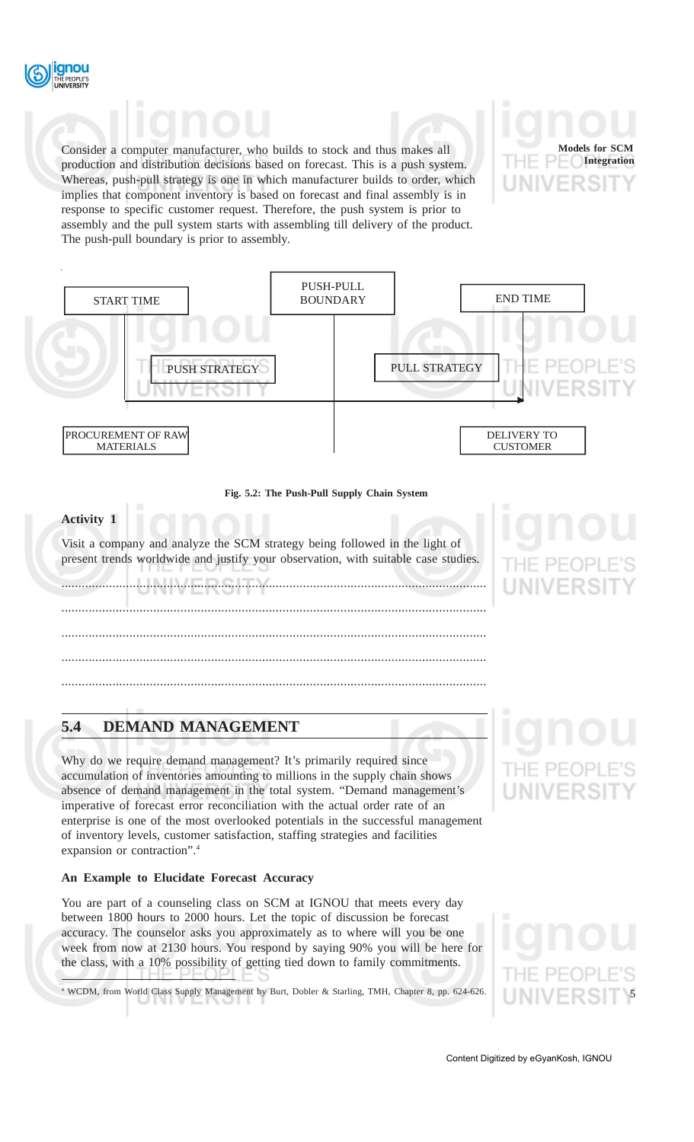

Consider a computer manufacturer, who builds to stock and thus makes all production and distribution decisions based on forecast. This is a push system. Whereas, push-pull strategy is one in which manufacturer builds to order, which implies that component inventory is based on forecast and final assembly is in response to specific customer request. Therefore, the push system is prior to assembly and the pull system starts with assembling till delivery of the product. The push-pull boundary is prior to assembly.





### **Fig. 5.2: The Push-Pull Supply Chain System**

### **Activity 1**

Visit a company and analyze the SCM strategy being followed in the light of present trends worldwide and justify your observation, with suitable case studies.

............................................................................................................................. ............................................................................................................................. ............................................................................................................................. .............................................................................................................................

.............................................................................................................................

**5.4 DEMAND MANAGEMENT**

Why do we require demand management? It's primarily required since accumulation of inventories amounting to millions in the supply chain shows absence of demand management in the total system. "Demand management's imperative of forecast error reconciliation with the actual order rate of an enterprise is one of the most overlooked potentials in the successful management of inventory levels, customer satisfaction, staffing strategies and facilities expansion or contraction".4

### **An Example to Elucidate Forecast Accuracy**

You are part of a counseling class on SCM at IGNOU that meets every day between 1800 hours to 2000 hours. Let the topic of discussion be forecast accuracy. The counselor asks you approximately as to where will you be one week from now at 2130 hours. You respond by saying 90% you will be here for the class, with a 10% possibility of getting tied down to family commitments.

4 WCDM, from World Class Supply Management by Burt, Dobler & Starling, TMH, Chapter 8, pp. 624-626.



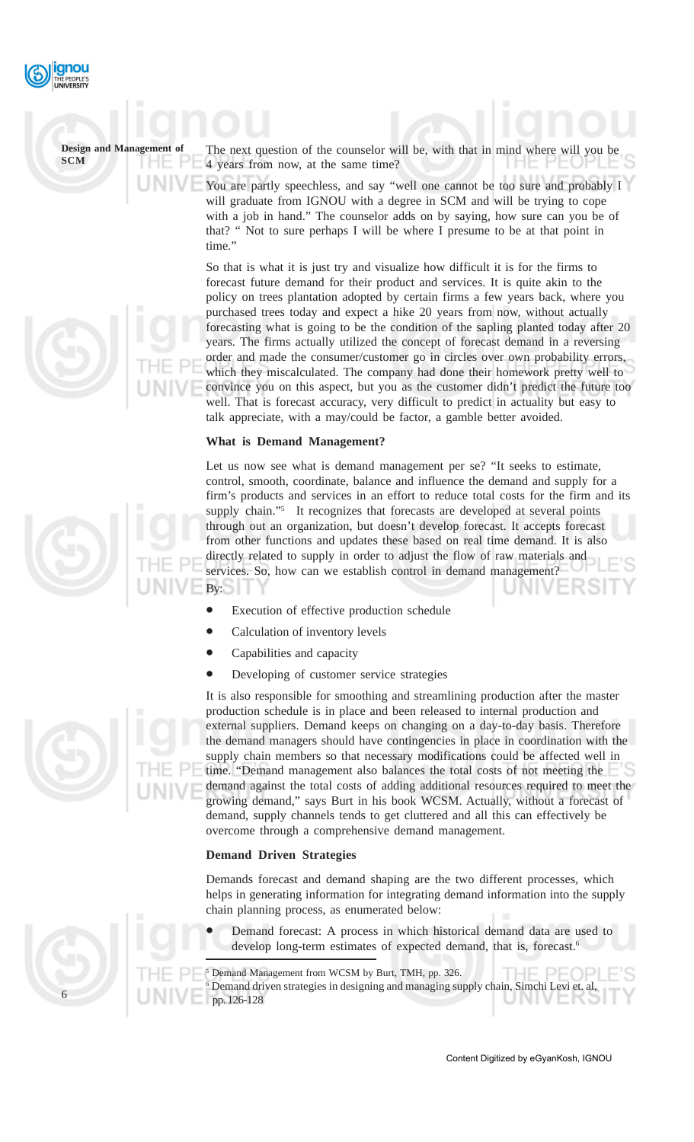

The next question of the counselor will be, with that in mind where 4 years from now, at the same time?

You are partly speechless, and say "well one cannot be too sure and probably I will graduate from IGNOU with a degree in SCM and will be trying to cope with a job in hand." The counselor adds on by saying, how sure can you be of that? " Not to sure perhaps I will be where I presume to be at that point in time."

So that is what it is just try and visualize how difficult it is for the firms to forecast future demand for their product and services. It is quite akin to the policy on trees plantation adopted by certain firms a few years back, where you purchased trees today and expect a hike 20 years from now, without actually forecasting what is going to be the condition of the sapling planted today after 20 years. The firms actually utilized the concept of forecast demand in a reversing order and made the consumer/customer go in circles over own probability errors, which they miscalculated. The company had done their homework pretty well to convince you on this aspect, but you as the customer didn't predict the future too well. That is forecast accuracy, very difficult to predict in actuality but easy to talk appreciate, with a may/could be factor, a gamble better avoided.

### **What is Demand Management?**

Let us now see what is demand management per se? "It seeks to estimate, control, smooth, coordinate, balance and influence the demand and supply for a firm's products and services in an effort to reduce total costs for the firm and its supply chain."<sup>5</sup> It recognizes that forecasts are developed at several points through out an organization, but doesn't develop forecast. It accepts forecast from other functions and updates these based on real time demand. It is also directly related to supply in order to adjust the flow of raw materials and services. So, how can we establish control in demand management? By:

- Execution of effective production schedule
- Calculation of inventory levels
- Capabilities and capacity
- Developing of customer service strategies

It is also responsible for smoothing and streamlining production after the master production schedule is in place and been released to internal production and external suppliers. Demand keeps on changing on a day-to-day basis. Therefore the demand managers should have contingencies in place in coordination with the supply chain members so that necessary modifications could be affected well in time. "Demand management also balances the total costs of not meeting the demand against the total costs of adding additional resources required to meet the growing demand," says Burt in his book WCSM. Actually, without a forecast of demand, supply channels tends to get cluttered and all this can effectively be overcome through a comprehensive demand management.

### **Demand Driven Strategies**

Demands forecast and demand shaping are the two different processes, which helps in generating information for integrating demand information into the supply chain planning process, as enumerated below:

• Demand forecast: A process in which historical demand data are used to develop long-term estimates of expected demand, that is, forecast.<sup>6</sup>

5 Demand Management from WCSM by Burt, TMH, pp. 326. 6 Demand driven strategies in designing and managing supply chain, Simchi Levi et. al, pp. 126-128



6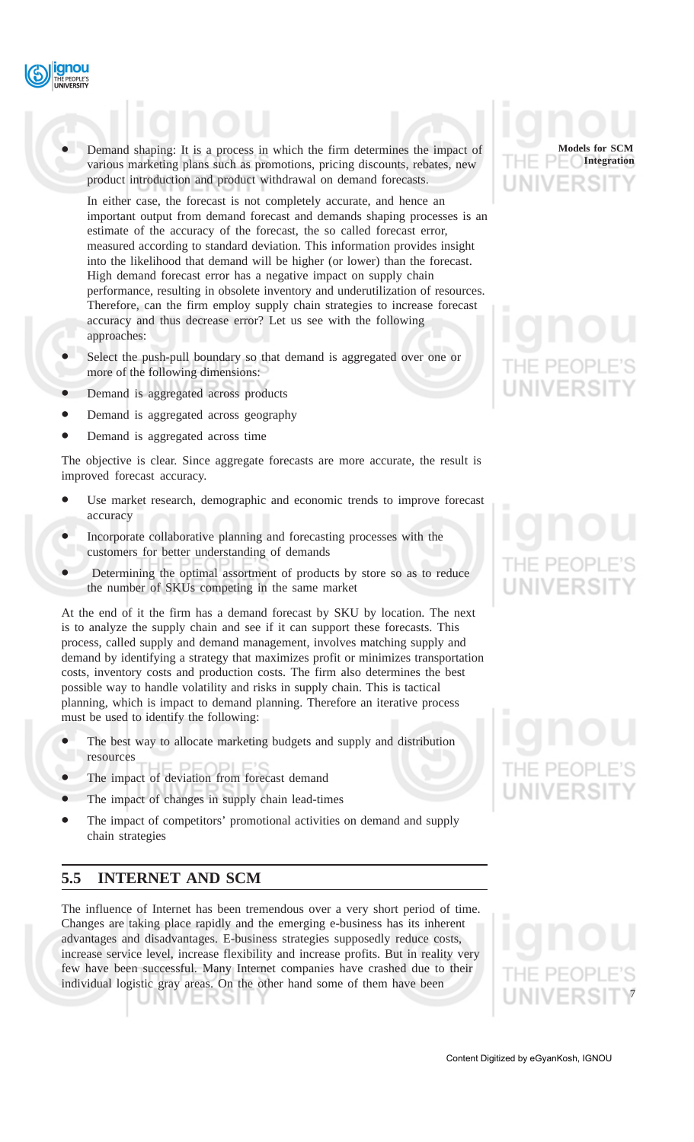

• Demand shaping: It is a process in which the firm determines the impact of various marketing plans such as promotions, pricing discounts, rebates, new product introduction and product withdrawal on demand forecasts.

In either case, the forecast is not completely accurate, and hence an important output from demand forecast and demands shaping processes is an estimate of the accuracy of the forecast, the so called forecast error, measured according to standard deviation. This information provides insight into the likelihood that demand will be higher (or lower) than the forecast. High demand forecast error has a negative impact on supply chain performance, resulting in obsolete inventory and underutilization of resources. Therefore, can the firm employ supply chain strategies to increase forecast accuracy and thus decrease error? Let us see with the following approaches:

- Select the push-pull boundary so that demand is aggregated over one or more of the following dimensions:
- Demand is aggregated across products
- Demand is aggregated across geography
- Demand is aggregated across time

The objective is clear. Since aggregate forecasts are more accurate, the result is improved forecast accuracy.

- Use market research, demographic and economic trends to improve forecast accuracy
- Incorporate collaborative planning and forecasting processes with the customers for better understanding of demands
- Determining the optimal assortment of products by store so as to reduce the number of SKUs competing in the same market

At the end of it the firm has a demand forecast by SKU by location. The next is to analyze the supply chain and see if it can support these forecasts. This process, called supply and demand management, involves matching supply and demand by identifying a strategy that maximizes profit or minimizes transportation costs, inventory costs and production costs. The firm also determines the best possible way to handle volatility and risks in supply chain. This is tactical planning, which is impact to demand planning. Therefore an iterative process must be used to identify the following:

- The best way to allocate marketing budgets and supply and distribution resources
- The impact of deviation from forecast demand
- The impact of changes in supply chain lead-times
- The impact of competitors' promotional activities on demand and supply chain strategies

# **5.5 INTERNET AND SCM**

The influence of Internet has been tremendous over a very short period of time. Changes are taking place rapidly and the emerging e-business has its inherent advantages and disadvantages. E-business strategies supposedly reduce costs, increase service level, increase flexibility and increase profits. But in reality very few have been successful. Many Internet companies have crashed due to their individual logistic gray areas. On the other hand some of them have been INIVERƏH

**Models for SCM Integration**



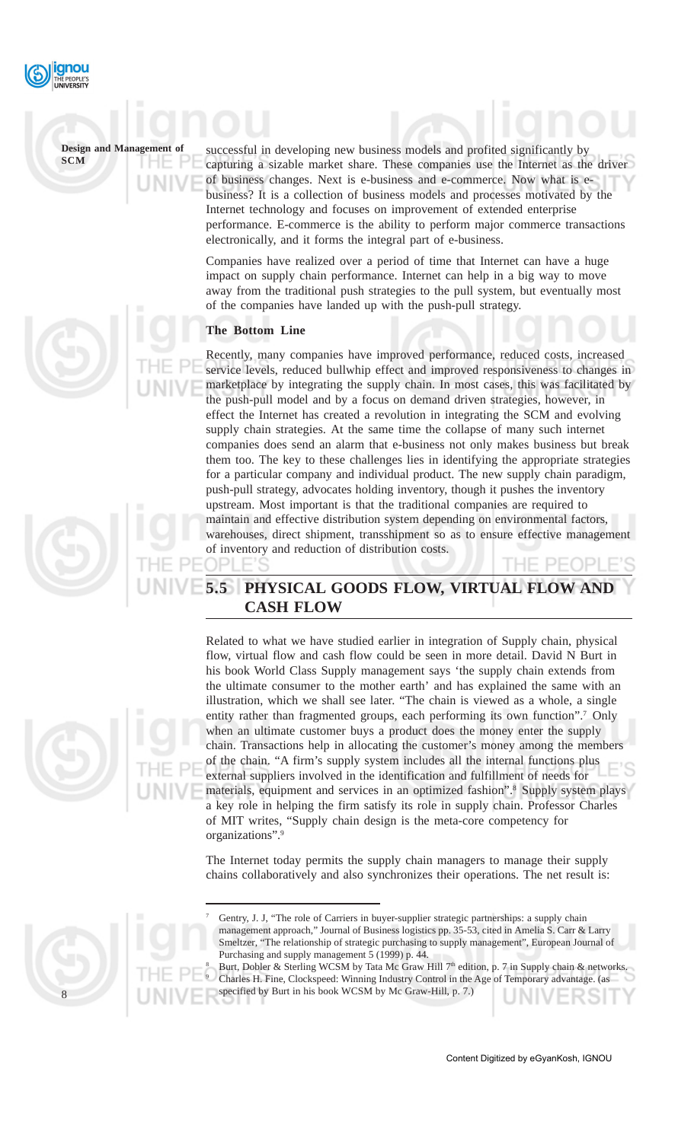

successful in developing new business models and profited significantly by capturing a sizable market share. These companies use the Internet as the driver of business changes. Next is e-business and e-commerce. Now what is ebusiness? It is a collection of business models and processes motivated by the Internet technology and focuses on improvement of extended enterprise performance. E-commerce is the ability to perform major commerce transactions electronically, and it forms the integral part of e-business.

Companies have realized over a period of time that Internet can have a huge impact on supply chain performance. Internet can help in a big way to move away from the traditional push strategies to the pull system, but eventually most of the companies have landed up with the push-pull strategy.

### **The Bottom Line**

Recently, many companies have improved performance, reduced costs, increased service levels, reduced bullwhip effect and improved responsiveness to changes in marketplace by integrating the supply chain. In most cases, this was facilitated by the push-pull model and by a focus on demand driven strategies, however, in effect the Internet has created a revolution in integrating the SCM and evolving supply chain strategies. At the same time the collapse of many such internet companies does send an alarm that e-business not only makes business but break them too. The key to these challenges lies in identifying the appropriate strategies for a particular company and individual product. The new supply chain paradigm, push-pull strategy, advocates holding inventory, though it pushes the inventory upstream. Most important is that the traditional companies are required to maintain and effective distribution system depending on environmental factors, warehouses, direct shipment, transshipment so as to ensure effective management of inventory and reduction of distribution costs.

# **5.5 PHYSICAL GOODS FLOW, VIRTUAL FLOW AND CASH FLOW**

Related to what we have studied earlier in integration of Supply chain, physical flow, virtual flow and cash flow could be seen in more detail. David N Burt in his book World Class Supply management says 'the supply chain extends from the ultimate consumer to the mother earth' and has explained the same with an illustration, which we shall see later. "The chain is viewed as a whole, a single entity rather than fragmented groups, each performing its own function".7 Only when an ultimate customer buys a product does the money enter the supply chain. Transactions help in allocating the customer's money among the members of the chain. "A firm's supply system includes all the internal functions plus external suppliers involved in the identification and fulfillment of needs for materials, equipment and services in an optimized fashion".<sup>8</sup> Supply system plays a key role in helping the firm satisfy its role in supply chain. Professor Charles of MIT writes, "Supply chain design is the meta-core competency for organizations".9

The Internet today permits the supply chain managers to manage their supply chains collaboratively and also synchronizes their operations. The net result is:



Burt, Dobler & Sterling WCSM by Tata Mc Graw Hill 7<sup>th</sup> edition, p. 7 in Supply chain & networks. <sup>9</sup> Charles H. Fine, Clockspeed: Winning Industry Control in the Age of Temporary advantage. (as specified by Burt in his book WCSM by Mc Graw-Hill, p. 7.)

Gentry, J. J, "The role of Carriers in buyer-supplier strategic partnerships: a supply chain management approach," Journal of Business logistics pp. 35-53, cited in Amelia S. Carr & Larry Smeltzer, "The relationship of strategic purchasing to supply management", European Journal of Purchasing and supply management 5 (1999) p. 44.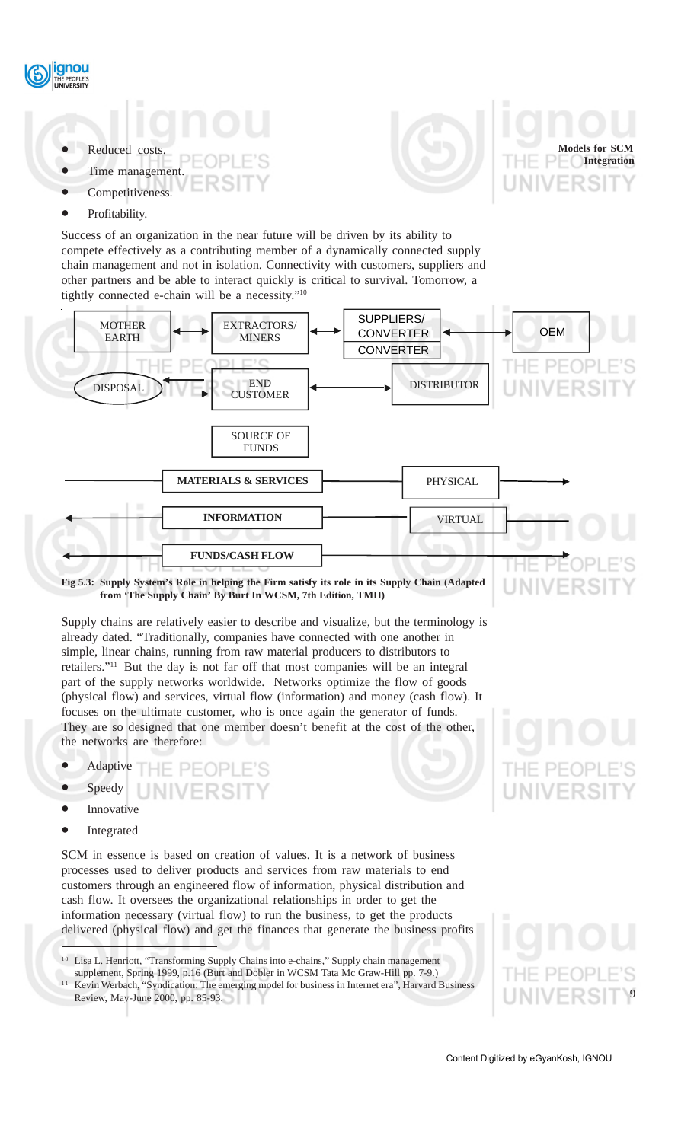

- Reduced costs Time management
- Competitiveness.
- Profitability.

Success of an organization in the near future will be driven by its ability to compete effectively as a contributing member of a dynamically connected supply chain management and not in isolation. Connectivity with customers, suppliers and other partners and be able to interact quickly is critical to survival. Tomorrow, a tightly connected e-chain will be a necessity."10





Supply chains are relatively easier to describe and visualize, but the terminology is already dated. "Traditionally, companies have connected with one another in simple, linear chains, running from raw material producers to distributors to retailers."11 But the day is not far off that most companies will be an integral part of the supply networks worldwide. Networks optimize the flow of goods (physical flow) and services, virtual flow (information) and money (cash flow). It focuses on the ultimate customer, who is once again the generator of funds. They are so designed that one member doesn't benefit at the cost of the other, the networks are therefore:

- **Adaptive** THE PEOPLE
- **Speedy**
- **Innovative**
- **Integrated**

SCM in essence is based on creation of values. It is a network of business processes used to deliver products and services from raw materials to end customers through an engineered flow of information, physical distribution and cash flow. It oversees the organizational relationships in order to get the information necessary (virtual flow) to run the business, to get the products delivered (physical flow) and get the finances that generate the business profits



**Models for SCM Integration**

9

<sup>&</sup>lt;sup>10</sup> Lisa L. Henriott, "Transforming Supply Chains into e-chains," Supply chain management supplement, Spring 1999, p.16 (Burt and Dobler in WCSM Tata Mc Graw-Hill pp. 7-9.)

Kevin Werbach, "Syndication: The emerging model for business in Internet era", Harvard Business Review, May-June 2000, pp. 85-93.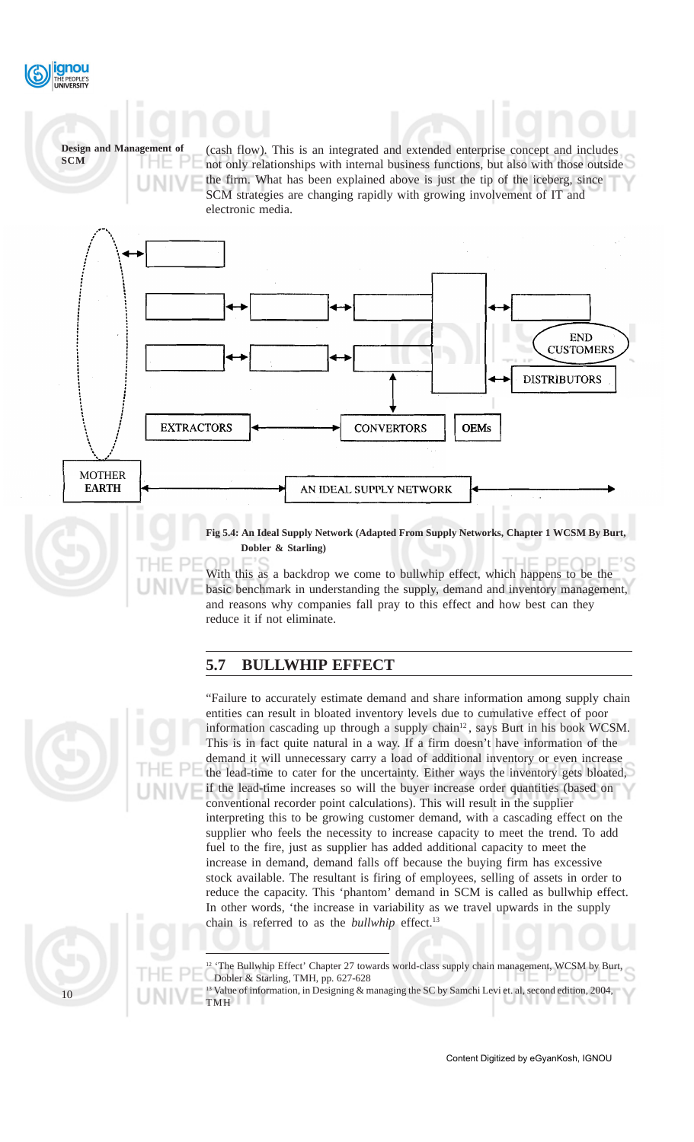

(cash flow). This is an integrated and extended enterprise concept and includes not only relationships with internal business functions, but also with those outside the firm. What has been explained above is just the tip of the iceberg, since SCM strategies are changing rapidly with growing involvement of IT and electronic media.



With this as a backdrop we come to bullwhip effect, which happens to be the basic benchmark in understanding the supply, demand and inventory management, and reasons why companies fall pray to this effect and how best can they reduce it if not eliminate.

# **5.7 BULLWHIP EFFECT**

"Failure to accurately estimate demand and share information among supply chain entities can result in bloated inventory levels due to cumulative effect of poor information cascading up through a supply chain<sup>12</sup>, says Burt in his book WCSM. This is in fact quite natural in a way. If a firm doesn't have information of the demand it will unnecessary carry a load of additional inventory or even increase the lead-time to cater for the uncertainty. Either ways the inventory gets bloated, if the lead-time increases so will the buyer increase order quantities (based on conventional recorder point calculations). This will result in the supplier interpreting this to be growing customer demand, with a cascading effect on the supplier who feels the necessity to increase capacity to meet the trend. To add fuel to the fire, just as supplier has added additional capacity to meet the increase in demand, demand falls off because the buying firm has excessive stock available. The resultant is firing of employees, selling of assets in order to reduce the capacity. This 'phantom' demand in SCM is called as bullwhip effect. In other words, 'the increase in variability as we travel upwards in the supply chain is referred to as the *bullwhip* effect.<sup>13</sup>



 $12$  'The Bullwhip Effect' Chapter 27 towards world-class supply chain management, WCSM by Burt, Dobler & Starling, TMH, pp. 627-628 <sup>13</sup> Value of information, in Designing & managing the SC by Samchi Levi et. al, second edition, 2004, TMH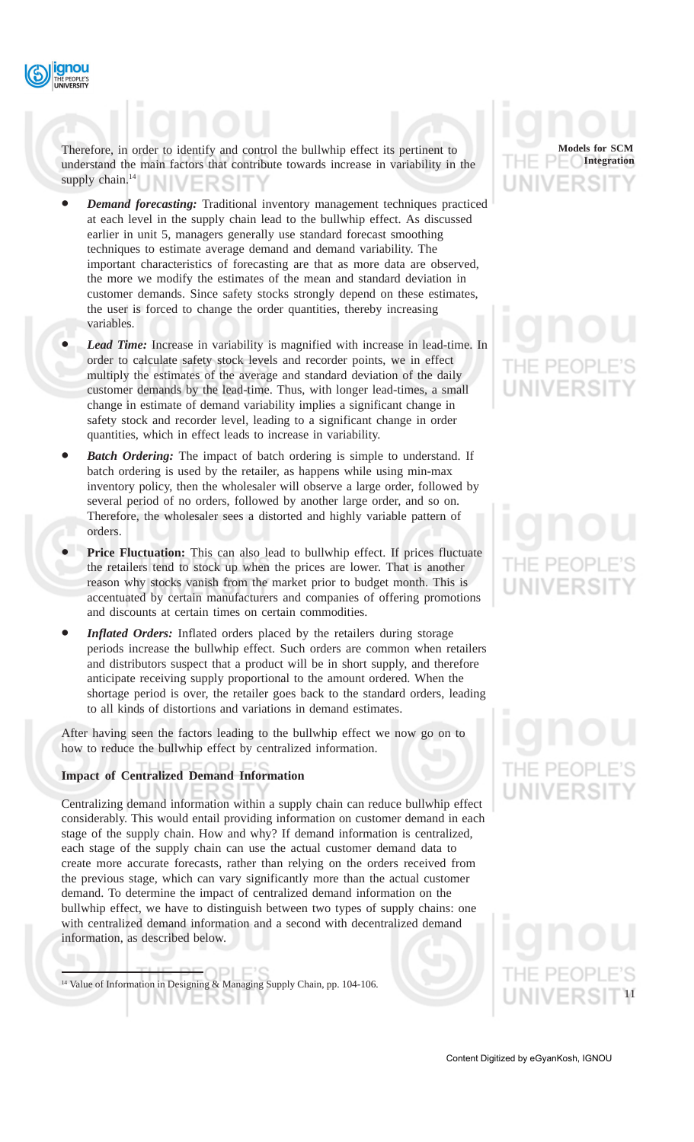Therefore, in order to identify and control the bullwhip effect its pertinent to understand the main factors that contribute towards increase in variability in the supply chain.<sup>14</sup> JIVERSI

- *Demand forecasting:* Traditional inventory management techniques practiced at each level in the supply chain lead to the bullwhip effect. As discussed earlier in unit 5, managers generally use standard forecast smoothing techniques to estimate average demand and demand variability. The important characteristics of forecasting are that as more data are observed, the more we modify the estimates of the mean and standard deviation in customer demands. Since safety stocks strongly depend on these estimates, the user is forced to change the order quantities, thereby increasing variables.
- Lead Time: Increase in variability is magnified with increase in lead-time. In order to calculate safety stock levels and recorder points, we in effect multiply the estimates of the average and standard deviation of the daily customer demands by the lead-time. Thus, with longer lead-times, a small change in estimate of demand variability implies a significant change in safety stock and recorder level, leading to a significant change in order quantities, which in effect leads to increase in variability.
- **Batch Ordering:** The impact of batch ordering is simple to understand. If batch ordering is used by the retailer, as happens while using min-max inventory policy, then the wholesaler will observe a large order, followed by several period of no orders, followed by another large order, and so on. Therefore, the wholesaler sees a distorted and highly variable pattern of orders.
- **Price Fluctuation:** This can also lead to bullwhip effect. If prices fluctuate the retailers tend to stock up when the prices are lower. That is another reason why stocks vanish from the market prior to budget month. This is accentuated by certain manufacturers and companies of offering promotions and discounts at certain times on certain commodities.
- **Inflated Orders:** Inflated orders placed by the retailers during storage periods increase the bullwhip effect. Such orders are common when retailers and distributors suspect that a product will be in short supply, and therefore anticipate receiving supply proportional to the amount ordered. When the shortage period is over, the retailer goes back to the standard orders, leading to all kinds of distortions and variations in demand estimates.

After having seen the factors leading to the bullwhip effect we now go on to how to reduce the bullwhip effect by centralized information.

### **Impact of Centralized Demand Information**

Centralizing demand information within a supply chain can reduce bullwhip effect considerably. This would entail providing information on customer demand in each stage of the supply chain. How and why? If demand information is centralized, each stage of the supply chain can use the actual customer demand data to create more accurate forecasts, rather than relying on the orders received from the previous stage, which can vary significantly more than the actual customer demand. To determine the impact of centralized demand information on the bullwhip effect, we have to distinguish between two types of supply chains: one with centralized demand information and a second with decentralized demand information, as described below.

<sup>14</sup> Value of Information in Designing & Managing Supply Chain, pp. 104-106. JNIVERƏH



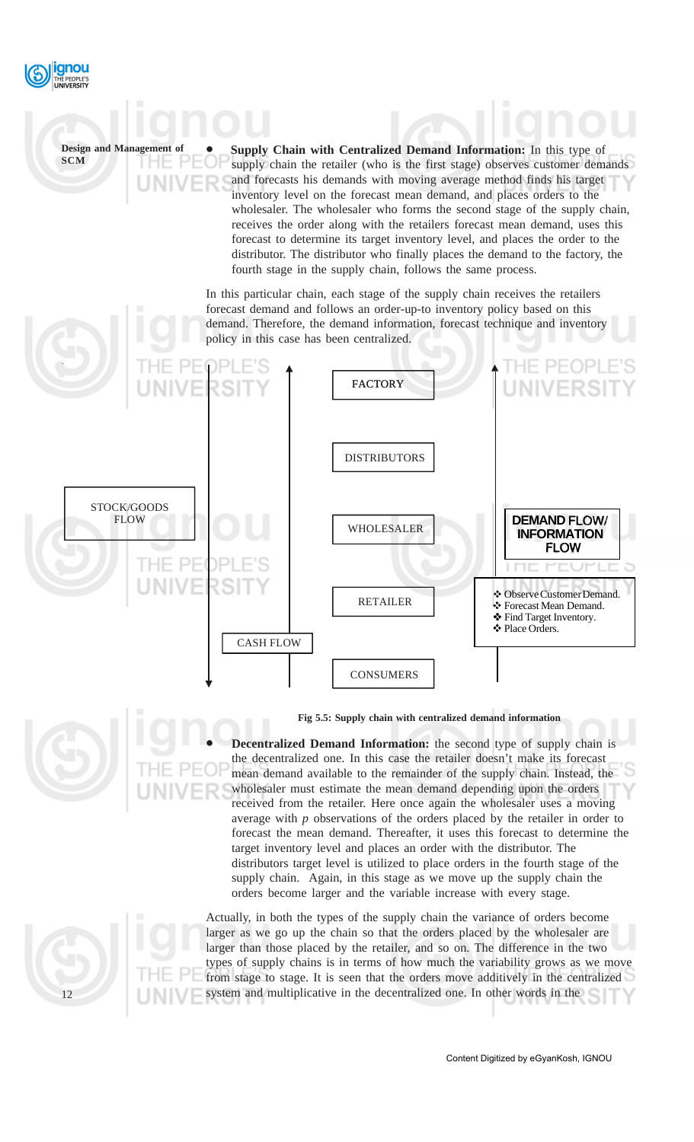

• **Supply Chain with Centralized Demand Information:** In this type of supply chain the retailer (who is the first stage) observes customer demands and forecasts his demands with moving average method finds his target inventory level on the forecast mean demand, and places orders to the wholesaler. The wholesaler who forms the second stage of the supply chain, receives the order along with the retailers forecast mean demand, uses this forecast to determine its target inventory level, and places the order to the distributor. The distributor who finally places the demand to the factory, the fourth stage in the supply chain, follows the same process.

In this particular chain, each stage of the supply chain receives the retailers forecast demand and follows an order-up-to inventory policy based on this demand. Therefore, the demand information, forecast technique and inventory policy in this case has been centralized.



**Fig 5.5: Supply chain with centralized demand information**

• **Decentralized Demand Information:** the second type of supply chain is the decentralized one. In this case the retailer doesn't make its forecast mean demand available to the remainder of the supply chain. Instead, the wholesaler must estimate the mean demand depending upon the orders received from the retailer. Here once again the wholesaler uses a moving average with *p* observations of the orders placed by the retailer in order to forecast the mean demand. Thereafter, it uses this forecast to determine the target inventory level and places an order with the distributor. The distributors target level is utilized to place orders in the fourth stage of the supply chain. Again, in this stage as we move up the supply chain the orders become larger and the variable increase with every stage.



Actually, in both the types of the supply chain the variance of orders become larger as we go up the chain so that the orders placed by the wholesaler are larger than those placed by the retailer, and so on. The difference in the two types of supply chains is in terms of how much the variability grows as we move from stage to stage. It is seen that the orders move additively in the centralized system and multiplicative in the decentralized one. In other words in the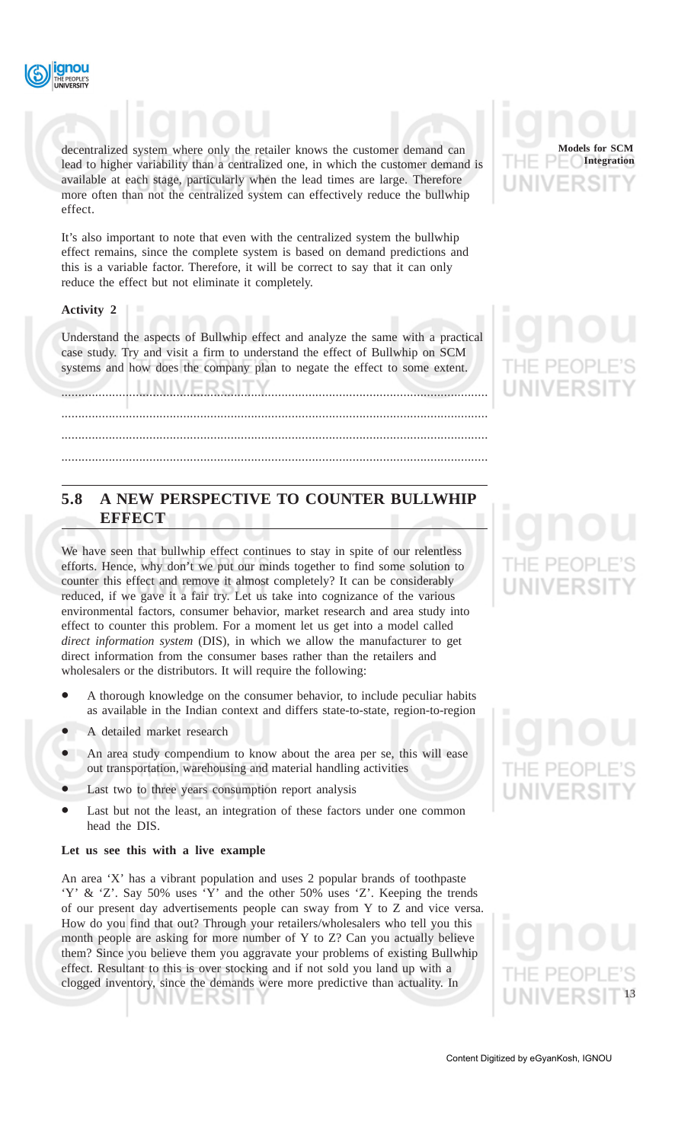

decentralized system where only the retailer knows the customer demand can lead to higher variability than a centralized one, in which the customer demand is available at each stage, particularly when the lead times are large. Therefore more often than not the centralized system can effectively reduce the bullwhip effect.

It's also important to note that even with the centralized system the bullwhip effect remains, since the complete system is based on demand predictions and this is a variable factor. Therefore, it will be correct to say that it can only reduce the effect but not eliminate it completely.

### **Activity 2**

Understand the aspects of Bullwhip effect and analyze the same with a practical case study. Try and visit a firm to understand the effect of Bullwhip on SCM systems and how does the company plan to negate the effect to some extent.

.............................................................................................................................. .............................................................................................................................. ..............................................................................................................................

..............................................................................................................................

# **5.8 A NEW PERSPECTIVE TO COUNTER BULLWHIP EFFECT**

We have seen that bullwhip effect continues to stay in spite of our relentless efforts. Hence, why don't we put our minds together to find some solution to counter this effect and remove it almost completely? It can be considerably reduced, if we gave it a fair try. Let us take into cognizance of the various environmental factors, consumer behavior, market research and area study into effect to counter this problem. For a moment let us get into a model called *direct information system* (DIS), in which we allow the manufacturer to get direct information from the consumer bases rather than the retailers and wholesalers or the distributors. It will require the following:

- A thorough knowledge on the consumer behavior, to include peculiar habits as available in the Indian context and differs state-to-state, region-to-region
- A detailed market research
- An area study compendium to know about the area per se, this will ease out transportation, warehousing and material handling activities
- Last two to three years consumption report analysis
- Last but not the least, an integration of these factors under one common head the DIS.

### **Let us see this with a live example**

An area 'X' has a vibrant population and uses 2 popular brands of toothpaste 'Y' & 'Z'. Say 50% uses 'Y' and the other 50% uses 'Z'. Keeping the trends of our present day advertisements people can sway from Y to Z and vice versa. How do you find that out? Through your retailers/wholesalers who tell you this month people are asking for more number of Y to Z? Can you actually believe them? Since you believe them you aggravate your problems of existing Bullwhip effect. Resultant to this is over stocking and if not sold you land up with a clogged inventory, since the demands were more predictive than actuality. In

UNIVERƏH

**Models for SCM Integration**

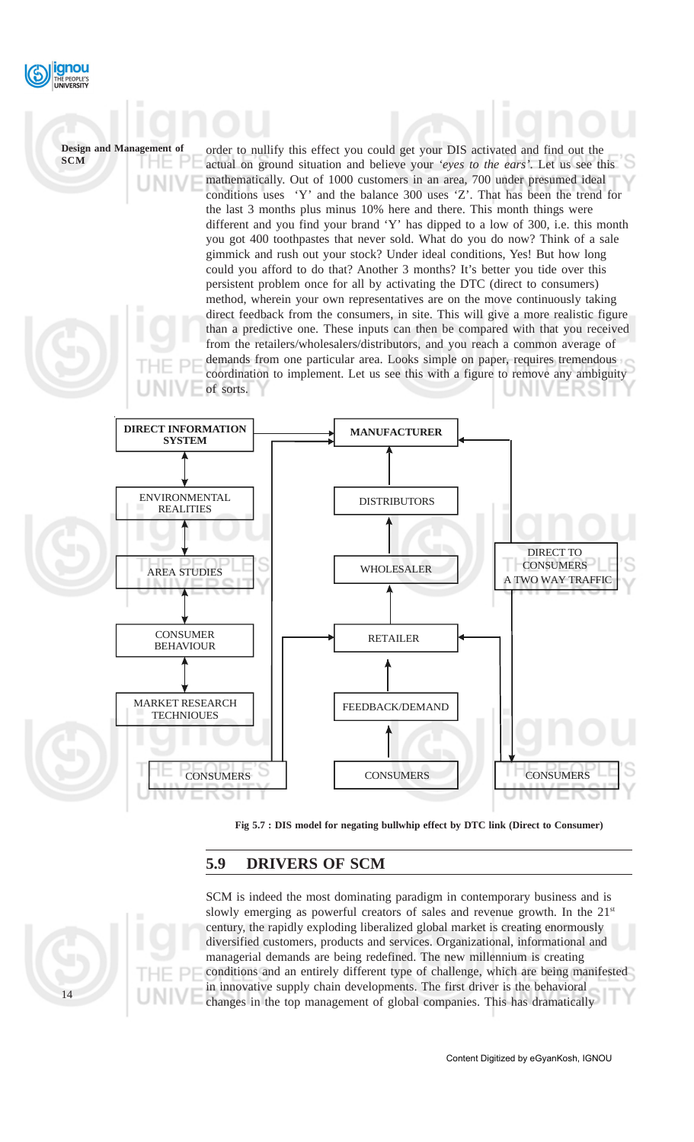

order to nullify this effect you could get your DIS activated and find out the actual on ground situation and believe your *'eyes to the ears'*. Let us see this mathematically. Out of 1000 customers in an area, 700 under presumed ideal conditions uses 'Y' and the balance 300 uses 'Z'. That has been the trend for the last 3 months plus minus 10% here and there. This month things were different and you find your brand 'Y' has dipped to a low of 300, i.e. this month you got 400 toothpastes that never sold. What do you do now? Think of a sale gimmick and rush out your stock? Under ideal conditions, Yes! But how long could you afford to do that? Another 3 months? It's better you tide over this persistent problem once for all by activating the DTC (direct to consumers) method, wherein your own representatives are on the move continuously taking direct feedback from the consumers, in site. This will give a more realistic figure than a predictive one. These inputs can then be compared with that you received from the retailers/wholesalers/distributors, and you reach a common average of demands from one particular area. Looks simple on paper, requires tremendous coordination to implement. Let us see this with a figure to remove any ambiguity of sorts.



### **Fig 5.7 : DIS model for negating bullwhip effect by DTC link (Direct to Consumer)**

# **5.9 DRIVERS OF SCM**



SCM is indeed the most dominating paradigm in contemporary business and is slowly emerging as powerful creators of sales and revenue growth. In the  $21<sup>st</sup>$ century, the rapidly exploding liberalized global market is creating enormously diversified customers, products and services. Organizational, informational and managerial demands are being redefined. The new millennium is creating conditions and an entirely different type of challenge, which are being manifested in innovative supply chain developments. The first driver is the behavioral changes in the top management of global companies. This has dramatically